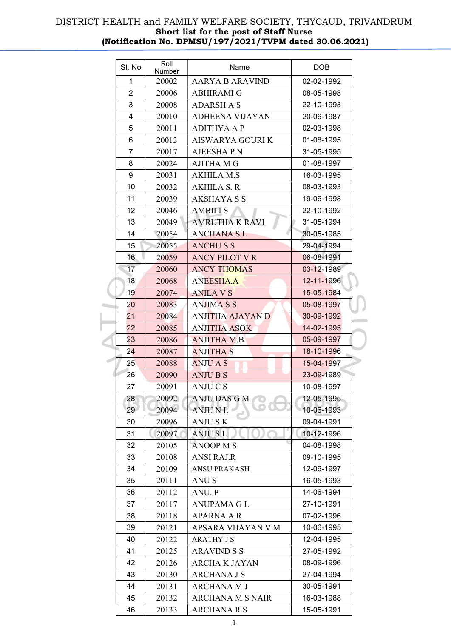| SI. No   | Roll<br>Number | Name                    | <b>DOB</b> |
|----------|----------------|-------------------------|------------|
| 1        | 20002          | <b>AARYA B ARAVIND</b>  | 02-02-1992 |
| 2        | 20006          | <b>ABHIRAMI G</b>       | 08-05-1998 |
| 3        | 20008          | <b>ADARSH A S</b>       | 22-10-1993 |
| 4        | 20010          | <b>ADHEENA VIJAYAN</b>  | 20-06-1987 |
| 5        | 20011          | <b>ADITHYA A P</b>      | 02-03-1998 |
| 6        | 20013          | <b>AISWARYA GOURI K</b> | 01-08-1995 |
| 7        | 20017          | <b>AJEESHAPN</b>        | 31-05-1995 |
| 8        | 20024          | <b>AJITHA M G</b>       | 01-08-1997 |
| 9        | 20031          | <b>AKHILA M.S</b>       | 16-03-1995 |
| 10       | 20032          | <b>AKHILA S. R</b>      | 08-03-1993 |
| 11       | 20039          | <b>AKSHAYA S S</b>      | 19-06-1998 |
| 12       | 20046          | <b>AMBILI S</b>         | 22-10-1992 |
| 13       | 20049          | <b>AMRUTHA K RAVI</b>   | 31-05-1994 |
| 14       | 20054          | <b>ANCHANA SL</b>       | 30-05-1985 |
| 15       | 20055          | <b>ANCHUSS</b>          | 29-04-1994 |
| 16       | 20059          | <b>ANCY PILOT V R</b>   | 06-08-1991 |
| 17       | 20060          | <b>ANCY THOMAS</b>      | 03-12-1989 |
| 18       | 20068          | <b>ANEESHA.A</b>        | 12-11-1996 |
| 19       | 20074          | <b>ANILA VS</b>         | 15-05-1984 |
| 20       | 20083          | <b>ANJIMA S S</b>       | 05-08-1997 |
| 21       | 20084          | <b>ANJITHA AJAYAN D</b> | 30-09-1992 |
| 22       | 20085          | <b>ANJITHA ASOK</b>     | 14-02-1995 |
| 23       | 20086          | <b>ANJITHA M.B</b>      | 05-09-1997 |
| 24       | 20087          | <b>ANJITHA S</b>        | 18-10-1996 |
| 25       | 20088          | <b>ANJU A S</b>         | 15-04-1997 |
| 26       | 20090          | <b>ANJUBS</b>           | 23-09-1989 |
| 27       | 20091          | <b>ANJUCS</b>           | 10-08-1997 |
| 28       | 20092          | ANJU DAS G M            | 12-05-1995 |
| 29       | 20094          | <b>ANJU NL</b>          | 10-06-1993 |
| 30       | 20096          | <b>ANJUSK</b>           | 09-04-1991 |
| 31       | 20097          | <b>ANJUSL</b>           | 10-12-1996 |
| 32       | 20105          | <b>ANOOP MS</b>         | 04-08-1998 |
| 33       | 20108          | <b>ANSI RAJ.R</b>       | 09-10-1995 |
| 34       | 20109          | <b>ANSU PRAKASH</b>     | 12-06-1997 |
| 35       | 20111          | ANU S                   | 16-05-1993 |
| 36       | 20112          | ANU. P                  | 14-06-1994 |
| 37       | 20117          | ANUPAMA G L             | 27-10-1991 |
| 38       | 20118          | <b>APARNA A R</b>       | 07-02-1996 |
| 39       | 20121          | APSARA VIJAYAN V M      | 10-06-1995 |
| 40       | 20122          | <b>ARATHY JS</b>        | 12-04-1995 |
| 41       | 20125          | <b>ARAVIND S S</b>      | 27-05-1992 |
|          |                |                         |            |
| 42<br>43 | 20126          | ARCHA K JAYAN           | 08-09-1996 |
|          | 20130          | <b>ARCHANA J S</b>      | 27-04-1994 |
| 44       | 20131          | <b>ARCHANA M J</b>      | 30-05-1991 |
| 45       | 20132          | ARCHANA M S NAIR        | 16-03-1988 |
| 46       | 20133          | <b>ARCHANA R S</b>      | 15-05-1991 |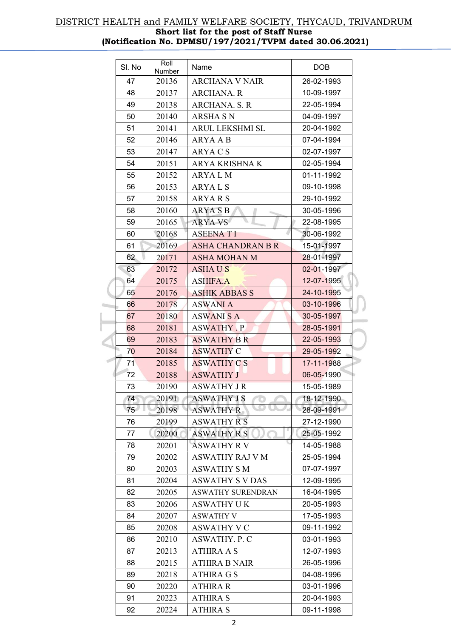| SI. No | Roll<br>Number | Name                     | <b>DOB</b> |  |
|--------|----------------|--------------------------|------------|--|
| 47     | 20136          | ARCHANA V NAIR           | 26-02-1993 |  |
| 48     | 20137          | <b>ARCHANA. R</b>        | 10-09-1997 |  |
| 49     | 20138          | <b>ARCHANA. S. R</b>     | 22-05-1994 |  |
| 50     | 20140          | <b>ARSHA S N</b>         | 04-09-1997 |  |
| 51     | 20141          | ARUL LEKSHMI SL          | 20-04-1992 |  |
| 52     | 20146          | ARYA A B                 | 07-04-1994 |  |
| 53     | 20147          | ARYA C S                 | 02-07-1997 |  |
| 54     | 20151          | ARYA KRISHNA K           | 02-05-1994 |  |
| 55     | 20152          | ARYA L M                 | 01-11-1992 |  |
| 56     | 20153          | ARYAL <sub>S</sub>       | 09-10-1998 |  |
| 57     | 20158          | ARYA R S                 | 29-10-1992 |  |
| 58     | 20160          | <b>ARYASB</b>            | 30-05-1996 |  |
| 59     | 20165          | <b>ARYA VS</b>           | 22-08-1995 |  |
| 60     | 20168          | <b>ASEENATI</b>          | 30-06-1992 |  |
| 61     | 20169          | ASHA CHANDRAN B R        | 15-01-1997 |  |
| 62     | 20171          | <b>ASHA MOHAN M</b>      | 28-01-1997 |  |
| 63     | 20172          | <b>ASHAUS</b>            | 02-01-1997 |  |
| 64     | 20175          | <b>ASHIFA.A</b>          | 12-07-1995 |  |
| 65     | 20176          | <b>ASHIK ABBAS S</b>     | 24-10-1995 |  |
| 66     | 20178          | <b>ASWANI A</b>          | 03-10-1996 |  |
| 67     | 20180          | ASWANI S A               | 30-05-1997 |  |
| 68     | 20181          | <b>ASWATHY . P</b>       | 28-05-1991 |  |
| 69     | 20183          | <b>ASWATHY B R</b>       | 22-05-1993 |  |
| 70     | 20184          | <b>ASWATHY C</b>         | 29-05-1992 |  |
| 71     | 20185          | <b>ASWATHY CS</b>        | 17-11-1988 |  |
| 72     | 20188          | <b>ASWATHY J</b>         | 06-05-1990 |  |
| 73     | 20190          | <b>ASWATHY JR</b>        | 15-05-1989 |  |
| 74     | 20191          | <b>ASWATHY J S</b>       | 18-12-1990 |  |
| 75     | 20198          | <b>ASWATHY R</b>         | 28-09-1991 |  |
| 76     | 20199          | <b>ASWATHY R S</b>       | 27-12-1990 |  |
| 77     | 20200          | <b>ASWATHY R S</b>       | 25-05-1992 |  |
| 78     | 20201          | <b>ASWATHY R V</b>       | 14-05-1988 |  |
| 79     | 20202          | <b>ASWATHY RAJ V M</b>   | 25-05-1994 |  |
| 80     | 20203          | <b>ASWATHY SM</b>        | 07-07-1997 |  |
| 81     | 20204          | <b>ASWATHY S V DAS</b>   | 12-09-1995 |  |
| 82     | 20205          | <b>ASWATHY SURENDRAN</b> | 16-04-1995 |  |
| 83     | 20206          | <b>ASWATHY UK</b>        | 20-05-1993 |  |
| 84     | 20207          | ASWATHY V                | 17-05-1993 |  |
| 85     | 20208          | <b>ASWATHY V C</b>       | 09-11-1992 |  |
| 86     | 20210          | <b>ASWATHY. P. C</b>     | 03-01-1993 |  |
| 87     | 20213          | <b>ATHIRA A S</b>        | 12-07-1993 |  |
| 88     | 20215          | ATHIRA B NAIR            | 26-05-1996 |  |
| 89     | 20218          | <b>ATHIRA G S</b>        | 04-08-1996 |  |
| 90     | 20220          | <b>ATHIRA R</b>          | 03-01-1996 |  |
| 91     | 20223          | <b>ATHIRA S</b>          | 20-04-1993 |  |
| 92     | 20224          | <b>ATHIRA S</b>          | 09-11-1998 |  |

 $\sim$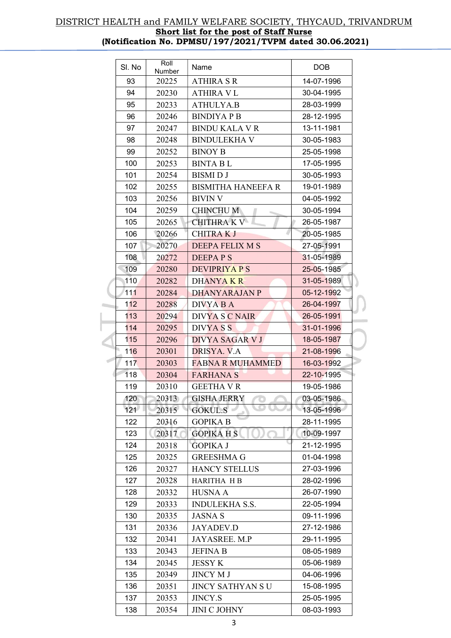| SI. No | Roll<br>Number | Name                      | <b>DOB</b> |  |
|--------|----------------|---------------------------|------------|--|
| 93     | 20225          | <b>ATHIRA S R</b>         | 14-07-1996 |  |
| 94     | 20230          | ATHIRA V L                | 30-04-1995 |  |
| 95     | 20233          | <b>ATHULYA.B</b>          | 28-03-1999 |  |
| 96     | 20246          | <b>BINDIYAPB</b>          | 28-12-1995 |  |
| 97     | 20247          | <b>BINDU KALA V R</b>     | 13-11-1981 |  |
| 98     | 20248          | <b>BINDULEKHA V</b>       | 30-05-1983 |  |
| 99     | 20252          | <b>BINOY B</b>            | 25-05-1998 |  |
| 100    | 20253          | <b>BINTA BL</b>           | 17-05-1995 |  |
| 101    | 20254          | <b>BISMIDJ</b>            | 30-05-1993 |  |
| 102    | 20255          | <b>BISMITHA HANEEFA R</b> | 19-01-1989 |  |
| 103    | 20256          | BIVIN V                   | 04-05-1992 |  |
| 104    | 20259          | <b>CHINCHU M</b>          | 30-05-1994 |  |
| 105    | 20265          | <b>CHITHRA K V</b>        | 26-05-1987 |  |
| 106    | 20266          | <b>CHITRAKJ</b>           | 20-05-1985 |  |
| 107    | 20270          | DEEPA FELIX M S           | 27-05-1991 |  |
| 108    | 20272          | DEEPAPS                   | 31-05-1989 |  |
| 109    | 20280          | <b>DEVIPRIYA P S</b>      | 25-05-1985 |  |
| 110    | 20282          | DHANYA K R                | 31-05-1989 |  |
| 111    | 20284          | DHANYARAJAN P             | 05-12-1992 |  |
| 112    | 20288          | DIVYA B A                 | 26-04-1997 |  |
| 113    | 20294          | <b>DIVYA S C NAIR</b>     | 26-05-1991 |  |
| 114    | 20295          | DIVYA S S                 | 31-01-1996 |  |
| 115    | 20296          | DIVYA SAGAR V J           | 18-05-1987 |  |
| 116    | 20301          | DRISYA. V.A               | 21-08-1996 |  |
| 117    | 20303          | <b>FABNA R MUHAMMED</b>   | 16-03-1992 |  |
| 118    | 20304          | <b>FARHANA S</b>          | 22-10-1995 |  |
| 119    | 20310          | <b>GEETHA V R</b>         | 19-05-1986 |  |
| 120    | 20313          | <b>GISHA JERRY</b>        | 03-05-1986 |  |
| 121    | 20315          | œ<br><b>GOKUL.S</b>       | 13-05-1996 |  |
| 122    | 20316          | <b>GOPIKA B</b>           | 28-11-1995 |  |
| 123    | 20317          | <b>GOPIKAHS</b>           | 10-09-1997 |  |
| 124    | 20318          | <b>GOPIKA J</b>           | 21-12-1995 |  |
| 125    | 20325          | GREESHMA G                | 01-04-1998 |  |
| 126    | 20327          | <b>HANCY STELLUS</b>      | 27-03-1996 |  |
| 127    | 20328          | <b>HARITHA HB</b>         | 28-02-1996 |  |
| 128    | 20332          | <b>HUSNA A</b>            | 26-07-1990 |  |
| 129    | 20333          | <b>INDULEKHA S.S.</b>     | 22-05-1994 |  |
| 130    | 20335          | <b>JASNAS</b>             | 09-11-1996 |  |
| 131    | 20336          | <b>JAYADEV.D</b>          | 27-12-1986 |  |
| 132    | 20341          | JAYASREE. M.P             | 29-11-1995 |  |
| 133    | 20343          | <b>JEFINA B</b>           | 08-05-1989 |  |
| 134    | 20345          | <b>JESSY K</b>            | 05-06-1989 |  |
| 135    | 20349          | <b>JINCY M J</b>          | 04-06-1996 |  |
| 136    | 20351          | JINCY SATHYAN S U         | 15-08-1995 |  |
| 137    | 20353          | <b>JINCY.S</b>            | 25-05-1995 |  |
| 138    | 20354          | <b>JINI C JOHNY</b>       | 08-03-1993 |  |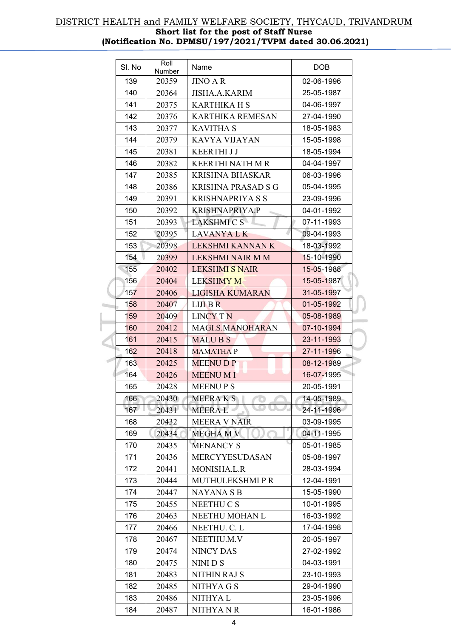| SI. No | Roll<br>Number | Name                      | <b>DOB</b> |  |
|--------|----------------|---------------------------|------------|--|
| 139    | 20359          | <b>JINO A R</b>           | 02-06-1996 |  |
| 140    | 20364          | <b>JISHA.A.KARIM</b>      | 25-05-1987 |  |
| 141    | 20375          | <b>KARTHIKA H S</b>       | 04-06-1997 |  |
| 142    | 20376          | <b>KARTHIKA REMESAN</b>   | 27-04-1990 |  |
| 143    | 20377          | <b>KAVITHA S</b>          | 18-05-1983 |  |
| 144    | 20379          | KAVYA VIJAYAN             | 15-05-1998 |  |
| 145    | 20381          | <b>KEERTHIJJ</b>          | 18-05-1994 |  |
| 146    | 20382          | <b>KEERTHI NATH M R</b>   | 04-04-1997 |  |
| 147    | 20385          | <b>KRISHNA BHASKAR</b>    | 06-03-1996 |  |
| 148    | 20386          | <b>KRISHNA PRASAD S G</b> | 05-04-1995 |  |
| 149    | 20391          | <b>KRISHNAPRIYA S S</b>   | 23-09-1996 |  |
| 150    | 20392          | <b>KRISHNAPRIYA.P</b>     | 04-01-1992 |  |
| 151    | 20393          | <b>LAKSHMI C S</b>        | 07-11-1993 |  |
| 152    | 20395          | <b>LAVANYA L K</b>        | 09-04-1993 |  |
| 153    | 20398          | LEKSHMI KANNAN K          | 18-03-1992 |  |
| 154    | 20399          | LEKSHMI NAIR M M          | 15-10-1990 |  |
| 155    | 20402          | <b>LEKSHMI S NAIR</b>     | 15-05-1988 |  |
| 156    | 20404          | <b>LEKSHMY M</b>          | 15-05-1987 |  |
| 157    | 20406          | <b>LIGISHA KUMARAN</b>    | 31-05-1997 |  |
| 158    | 20407          | $LIII$ B R                | 01-05-1992 |  |
| 159    | 20409          | <b>LINCY TN</b>           | 05-08-1989 |  |
| 160    | 20412          | MAGI.S.MANOHARAN          | 07-10-1994 |  |
| 161    | 20415          | <b>MALUBS</b>             | 23-11-1993 |  |
| 162    | 20418          | <b>MAMATHAP</b>           | 27-11-1996 |  |
| 163    | 20425          | <b>MEENUDP</b>            | 08-12-1989 |  |
| 164    | 20426          | <b>MEENUMI</b>            | 16-07-1995 |  |
| 165    | 20428          | <b>MEENUPS</b>            | 20-05-1991 |  |
| 166    | 20430          | MEERA K S                 | 14-05-1989 |  |
| 167    | 20431          | <b>MEERAL</b>             | 24-11-1996 |  |
| 168    | 20432          | <b>MEERA V NAIR</b>       | 03-09-1995 |  |
| 169    | 20434          | <b>MEGHAMV</b>            | 04-11-1995 |  |
| 170    | 20435          | <b>MENANCY S</b>          | 05-01-1985 |  |
| 171    | 20436          | MERCYYESUDASAN            | 05-08-1997 |  |
| 172    | 20441          | MONISHA.L.R               | 28-03-1994 |  |
| 173    | 20444          | <b>MUTHULEKSHMIPR</b>     | 12-04-1991 |  |
| 174    | 20447          | <b>NAYANASB</b>           | 15-05-1990 |  |
| 175    | 20455          | <b>NEETHUCS</b>           | 10-01-1995 |  |
| 176    | 20463          | NEETHU MOHAN L            | 16-03-1992 |  |
| 177    | 20466          | NEETHU. C. L              | 17-04-1998 |  |
| 178    | 20467          | NEETHU.M.V                | 20-05-1997 |  |
| 179    | 20474          | <b>NINCY DAS</b>          | 27-02-1992 |  |
| 180    | 20475          | NINI D S                  | 04-03-1991 |  |
| 181    | 20483          | <b>NITHIN RAJ S</b>       | 23-10-1993 |  |
| 182    | 20485          | NITHYA G S                | 29-04-1990 |  |
| 183    | 20486          | NITHYA L                  | 23-05-1996 |  |
| 184    | 20487          | <b>NITHYANR</b>           | 16-01-1986 |  |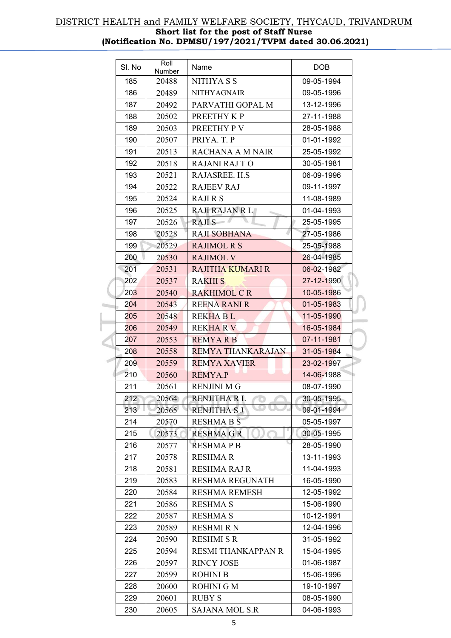| SI. No | Roll<br>Number | Name                      | <b>DOB</b> |
|--------|----------------|---------------------------|------------|
| 185    | 20488          | NITHYA S S                | 09-05-1994 |
| 186    | 20489          | <b>NITHYAGNAIR</b>        | 09-05-1996 |
| 187    | 20492          | PARVATHI GOPAL M          | 13-12-1996 |
| 188    | 20502          | PREETHY KP                | 27-11-1988 |
| 189    | 20503          | PREETHY PV                | 28-05-1988 |
| 190    | 20507          | PRIYA. T. P               | 01-01-1992 |
| 191    | 20513          | <b>RACHANA A M NAIR</b>   | 25-05-1992 |
| 192    | 20518          | <b>RAJANI RAJ TO</b>      | 30-05-1981 |
| 193    | 20521          | RAJASREE. H.S.            | 06-09-1996 |
| 194    | 20522          | <b>RAJEEV RAJ</b>         | 09-11-1997 |
| 195    | 20524          | <b>RAJIRS</b>             | 11-08-1989 |
| 196    | 20525          | <b>RAJI RAJAN R L</b>     | 01-04-1993 |
| 197    | 20526          | <b>RAJIS</b>              | 25-05-1995 |
| 198    | 20528          | <b>RAJI SOBHANA</b>       | 27-05-1986 |
| 199    | 20529          | <b>RAJIMOL R S</b>        | 25-05-1988 |
| 200    | 20530          | <b>RAJIMOL V</b>          | 26-04-1985 |
| 201    | 20531          | <b>RAJITHA KUMARI R</b>   | 06-02-1982 |
| 202    | 20537          | <b>RAKHIS</b>             | 27-12-1990 |
| 203    | 20540          | <b>RAKHIMOL C R</b>       | 10-05-1986 |
| 204    | 20543          | <b>REENA RANI R</b>       | 01-05-1983 |
| 205    | 20548          | <b>REKHABL</b>            | 11-05-1990 |
| 206    | 20549          | <b>REKHARV</b>            | 16-05-1984 |
| 207    | 20553          | <b>REMYARB</b>            | 07-11-1981 |
| 208    | 20558          | <b>REMYA THANKARAJAN</b>  | 31-05-1984 |
| 209    | 20559          | <b>REMYA XAVIER</b>       | 23-02-1997 |
| 210    | 20560          | <b>REMYA.P</b>            | 14-06-1988 |
| 211    | 20561          | <b>RENJINI M G</b>        | 08-07-1990 |
| 212    | 20564          | <b>RENJITHA RL</b>        | 30-05-1995 |
| 213    | 20565          | <b>RENJITHA SJ</b>        | 09-01-1994 |
| 214    | 20570          | <b>RESHMA B S</b>         | 05-05-1997 |
| 215    | 20573          | <b>RESHMA G R</b>         | 30-05-1995 |
| 216    | 20577          | <b>RESHMAPB</b>           | 28-05-1990 |
| 217    | 20578          | <b>RESHMAR</b>            | 13-11-1993 |
| 218    | 20581          | <b>RESHMA RAJ R</b>       | 11-04-1993 |
| 219    | 20583          | <b>RESHMA REGUNATH</b>    | 16-05-1990 |
| 220    | 20584          | <b>RESHMA REMESH</b>      | 12-05-1992 |
| 221    | 20586          | <b>RESHMA S</b>           | 15-06-1990 |
| 222    | 20587          | <b>RESHMA S</b>           | 10-12-1991 |
| 223    | 20589          | <b>RESHMI R N</b>         | 12-04-1996 |
| 224    | 20590          | RESHMI S R                | 31-05-1992 |
| 225    | 20594          | <b>RESMI THANKAPPAN R</b> | 15-04-1995 |
| 226    | 20597          | <b>RINCY JOSE</b>         | 01-06-1987 |
| 227    | 20599          | <b>ROHINI B</b>           | 15-06-1996 |
| 228    | 20600          | <b>ROHINI G M</b>         | 19-10-1997 |
| 229    | 20601          | <b>RUBY S</b>             | 08-05-1990 |
| 230    | 20605          | <b>SAJANA MOL S.R</b>     | 04-06-1993 |
|        |                |                           |            |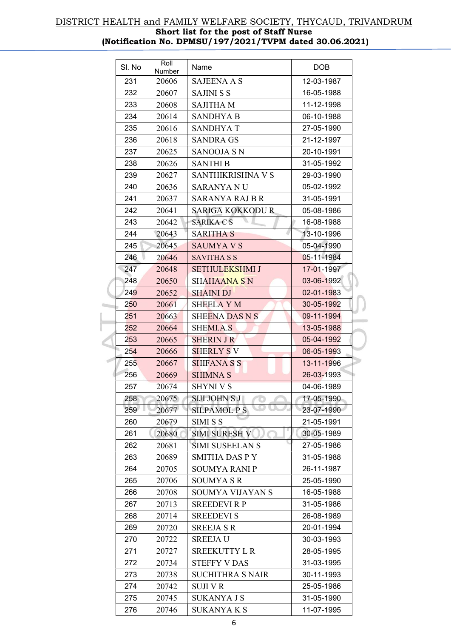| SI. No | Roll<br>Number | Name                    | <b>DOB</b> |  |
|--------|----------------|-------------------------|------------|--|
| 231    | 20606          | <b>SAJEENA A S</b>      | 12-03-1987 |  |
| 232    | 20607          | <b>SAJINI S S</b>       | 16-05-1988 |  |
| 233    | 20608          | <b>SAJITHA M</b>        | 11-12-1998 |  |
| 234    | 20614          | SANDHYA B               | 06-10-1988 |  |
| 235    | 20616          | <b>SANDHYAT</b>         | 27-05-1990 |  |
| 236    | 20618          | <b>SANDRA GS</b>        | 21-12-1997 |  |
| 237    | 20625          | SANOOJA S N             | 20-10-1991 |  |
| 238    | 20626          | <b>SANTHI B</b>         | 31-05-1992 |  |
| 239    | 20627          | SANTHIKRISHNA V S       | 29-03-1990 |  |
| 240    | 20636          | <b>SARANYA NU</b>       | 05-02-1992 |  |
| 241    | 20637          | SARANYA RAJ B R         | 31-05-1991 |  |
| 242    | 20641          | <b>SARIGA KOKKODU R</b> | 05-08-1986 |  |
| 243    | 20642          | <b>SARIKA C S</b>       | 16-08-1988 |  |
| 244    | 20643          | <b>SARITHA S</b>        | 13-10-1996 |  |
| 245    | 20645          | <b>SAUMYA V S</b>       | 05-04-1990 |  |
| 246    | 20646          | <b>SAVITHA S S</b>      | 05-11-1984 |  |
| 247    | 20648          | <b>SETHULEKSHMI J</b>   | 17-01-1997 |  |
| 248    | 20650          | SHAHAANA S N            | 03-06-1992 |  |
| 249    | 20652          | <b>SHAINI DJ</b>        | 02-01-1983 |  |
| 250    | 20661          | <b>SHEELA Y M</b>       | 30-05-1992 |  |
| 251    | 20663          | <b>SHEENA DAS N S</b>   | 09-11-1994 |  |
| 252    | 20664          | <b>SHEMI.A.S</b>        | 13-05-1988 |  |
| 253    | 20665          | <b>SHERIN J R</b>       | 05-04-1992 |  |
| 254    | 20666          | <b>SHERLY SV</b>        | 06-05-1993 |  |
| 255    | 20667          | SHIFANA S S             | 13-11-1996 |  |
| 256    | 20669          | <b>SHIMNA S</b>         | 26-03-1993 |  |
| 257    | 20674          | <b>SHYNI V S</b>        | 04-06-1989 |  |
| 258    | 20675          | <b>SIJI JOHN S J</b>    | 17-05-1990 |  |
| 259    | 20677          | <b>SILPAMOL P S</b>     | 23-07-1990 |  |
| 260    | 20679          | SIMI S S                | 21-05-1991 |  |
| 261    | 20680          | <b>SIMI SURESH V</b>    | 30-05-1989 |  |
| 262    | 20681          | <b>SIMI SUSEELAN S</b>  | 27-05-1986 |  |
| 263    | 20689          | SMITHA DAS P Y          | 31-05-1988 |  |
| 264    | 20705          | <b>SOUMYA RANI P</b>    | 26-11-1987 |  |
| 265    | 20706          | SOUMYA S R              | 25-05-1990 |  |
| 266    | 20708          | <b>SOUMYA VIJAYAN S</b> | 16-05-1988 |  |
| 267    | 20713          | <b>SREEDEVIRP</b>       | 31-05-1986 |  |
| 268    | 20714          | <b>SREEDEVI S</b>       | 26-08-1989 |  |
| 269    | 20720          | <b>SREEJA S R</b>       | 20-01-1994 |  |
| 270    | 20722          | SREEJA U                | 30-03-1993 |  |
| 271    | 20727          | <b>SREEKUTTY L R</b>    | 28-05-1995 |  |
| 272    | 20734          | <b>STEFFY V DAS</b>     | 31-03-1995 |  |
| 273    | 20738          | <b>SUCHITHRA S NAIR</b> | 30-11-1993 |  |
| 274    | 20742          | <b>SUJI V R</b>         | 25-05-1986 |  |
| 275    | 20745          | SUKANYA J S             | 31-05-1990 |  |
| 276    | 20746          | <b>SUKANYA K S</b>      | 11-07-1995 |  |

 $\sim$